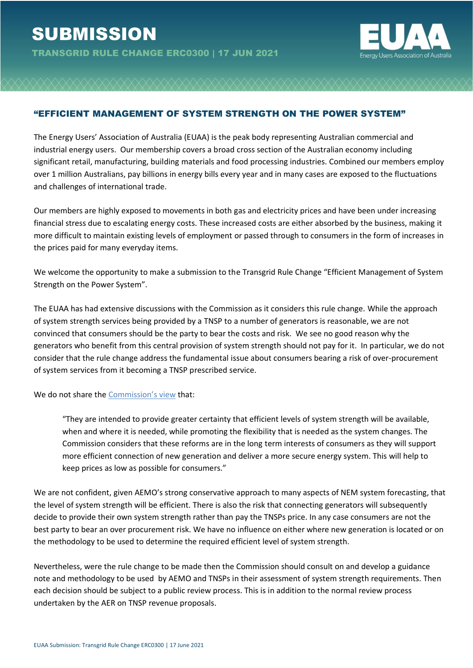TRANSGRID RULE CHANGE ERC0300 | 17 JUN 2021



## "EFFICIENT MANAGEMENT OF SYSTEM STRENGTH ON THE POWER SYSTEM"

The Energy Users' Association of Australia (EUAA) is the peak body representing Australian commercial and industrial energy users. Our membership covers a broad cross section of the Australian economy including significant retail, manufacturing, building materials and food processing industries. Combined our members employ over 1 million Australians, pay billions in energy bills every year and in many cases are exposed to the fluctuations and challenges of international trade.

Our members are highly exposed to movements in both gas and electricity prices and have been under increasing financial stress due to escalating energy costs. These increased costs are either absorbed by the business, making it more difficult to maintain existing levels of employment or passed through to consumers in the form of increases in the prices paid for many everyday items.

We welcome the opportunity to make a submission to the Transgrid Rule Change "Efficient Management of System Strength on the Power System".

The EUAA has had extensive discussions with the Commission as it considers this rule change. While the approach of system strength services being provided by a TNSP to a number of generators is reasonable, we are not convinced that consumers should be the party to bear the costs and risk. We see no good reason why the generators who benefit from this central provision of system strength should not pay for it. In particular, we do not consider that the rule change address the fundamental issue about consumers bearing a risk of over-procurement of system services from it becoming a TNSP prescribed service.

We do not share the [Commission's view](https://www.aemc.gov.au/sites/default/files/2021-04/ERC0300%20-%20draft%20determination%20-%20information%20sheet%20-%20for%20publication_0.pdf) that:

"They are intended to provide greater certainty that efficient levels of system strength will be available, when and where it is needed, while promoting the flexibility that is needed as the system changes. The Commission considers that these reforms are in the long term interests of consumers as they will support more efficient connection of new generation and deliver a more secure energy system. This will help to keep prices as low as possible for consumers."

We are not confident, given AEMO's strong conservative approach to many aspects of NEM system forecasting, that the level of system strength will be efficient. There is also the risk that connecting generators will subsequently decide to provide their own system strength rather than pay the TNSPs price. In any case consumers are not the best party to bear an over procurement risk. We have no influence on either where new generation is located or on the methodology to be used to determine the required efficient level of system strength.

Nevertheless, were the rule change to be made then the Commission should consult on and develop a guidance note and methodology to be used by AEMO and TNSPs in their assessment of system strength requirements. Then each decision should be subject to a public review process. This is in addition to the normal review process undertaken by the AER on TNSP revenue proposals.